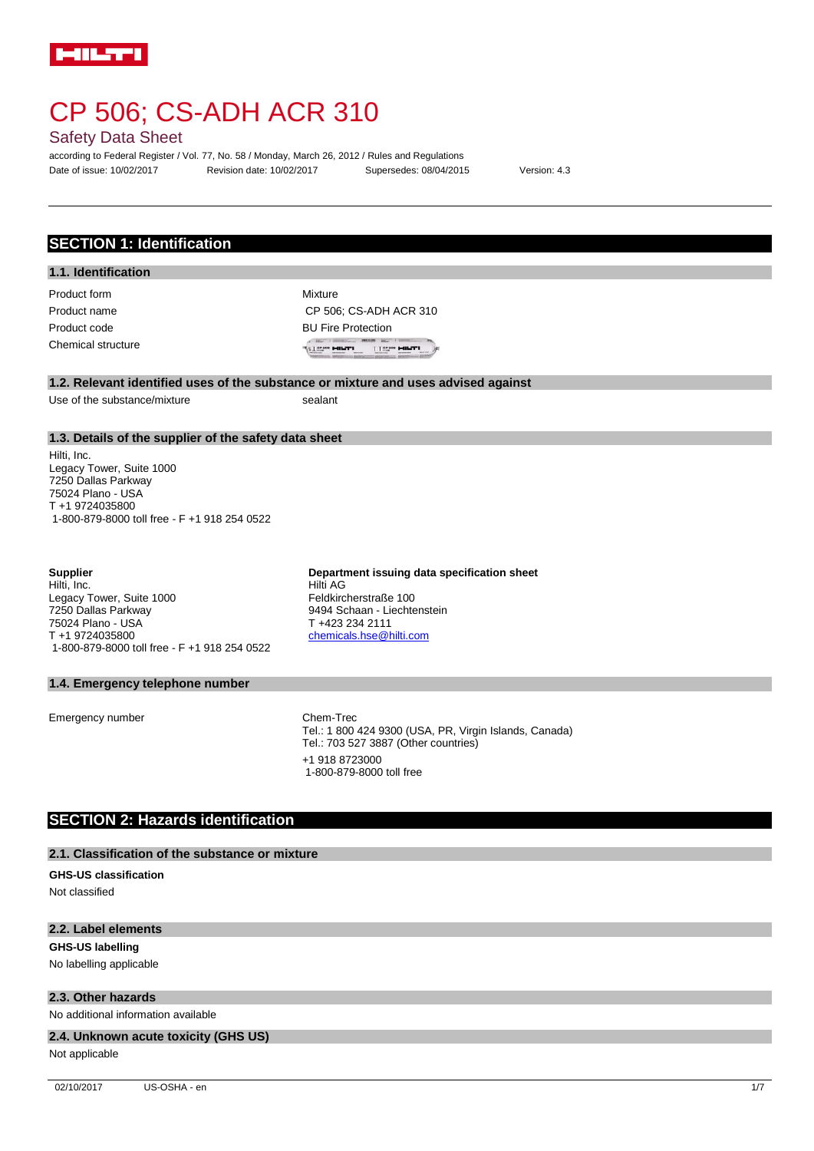

Safety Data Sheet

according to Federal Register / Vol. 77, No. 58 / Monday, March 26, 2012 / Rules and Regulations Date of issue: 10/02/2017 Revision date: 10/02/2017 Supersedes: 08/04/2015 Version: 4.3

# **SECTION 1: Identification**

#### **1.1. Identification**

Product form **Mixture** Chemical structure

Product name CP 506: CS-ADH ACR 310 Product code BU Fire Protection **ELSENGE MILTER**  $T$   $T$   $S^{x}$  sos  $H$   $H$   $H$   $T$   $T$   $T$ 

## **1.2. Relevant identified uses of the substance or mixture and uses advised against**

Use of the substance/mixture sealant

Hilti AG

Feldkircherstraße 100 9494 Schaan - Liechtenstein

T +423 234 2111 [chemicals.hse@hilti.com](mailto:chemicals.hse@hilti.com)

### **1.3. Details of the supplier of the safety data sheet**

Hilti, Inc. Legacy Tower, Suite 1000 7250 Dallas Parkway 75024 Plano - USA T +1 9724035800 1-800-879-8000 toll free - F +1 918 254 0522

#### **Supplier**

Hilti, Inc. Legacy Tower, Suite 1000 7250 Dallas Parkway 75024 Plano - USA T +1 9724035800 1-800-879-8000 toll free - F +1 918 254 0522

## **1.4. Emergency telephone number**

Emergency number Chem-Trec

Tel.: 1 800 424 9300 (USA, PR, Virgin Islands, Canada)

**Department issuing data specification sheet**

Tel.: 703 527 3887 (Other countries) +1 918 8723000 1-800-879-8000 toll free

## **SECTION 2: Hazards identification**

## **2.1. Classification of the substance or mixture**

## **GHS-US classification**

Not classified

#### **2.2. Label elements**

**GHS-US labelling**

No labelling applicable

#### **2.3. Other hazards**

No additional information available

### **2.4. Unknown acute toxicity (GHS US)**

Not applicable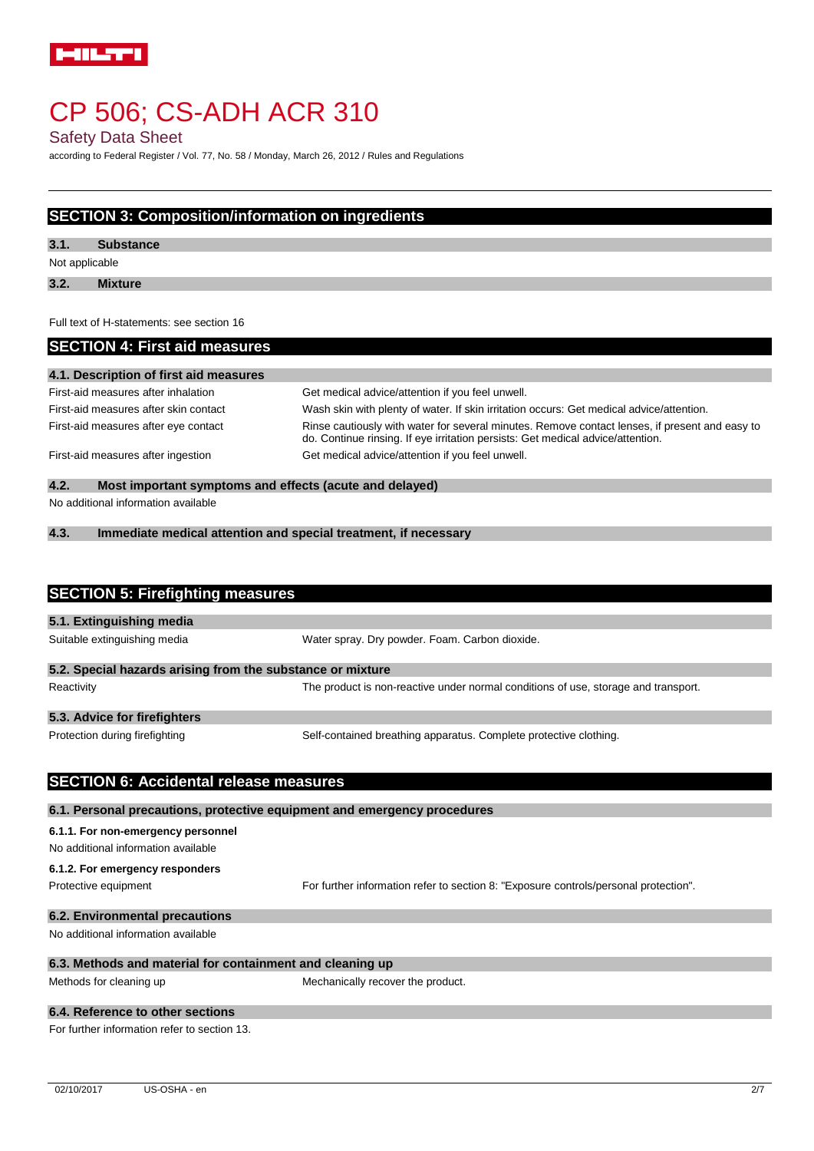

Safety Data Sheet

according to Federal Register / Vol. 77, No. 58 / Monday, March 26, 2012 / Rules and Regulations

# **SECTION 3: Composition/information on ingredients**

**3.1. Substance**

Not applicable

**3.2. Mixture**

Full text of H-statements: see section 16

## **SECTION 4: First aid measures**

| 4.1. Description of first aid measures |                                                                                                                                                                                   |
|----------------------------------------|-----------------------------------------------------------------------------------------------------------------------------------------------------------------------------------|
| First-aid measures after inhalation    | Get medical advice/attention if you feel unwell.                                                                                                                                  |
| First-aid measures after skin contact  | Wash skin with plenty of water. If skin irritation occurs: Get medical advice/attention.                                                                                          |
| First-aid measures after eye contact   | Rinse cautiously with water for several minutes. Remove contact lenses, if present and easy to<br>do. Continue rinsing. If eye irritation persists: Get medical advice/attention. |
| First-aid measures after ingestion     | Get medical advice/attention if you feel unwell.                                                                                                                                  |

## **4.2. Most important symptoms and effects (acute and delayed)**

No additional information available

**4.3. Immediate medical attention and special treatment, if necessary**

| <b>SECTION 5: Firefighting measures</b>                                   |                                                                                      |
|---------------------------------------------------------------------------|--------------------------------------------------------------------------------------|
| 5.1. Extinguishing media                                                  |                                                                                      |
| Suitable extinguishing media                                              | Water spray. Dry powder. Foam. Carbon dioxide.                                       |
| 5.2. Special hazards arising from the substance or mixture                |                                                                                      |
| Reactivity                                                                | The product is non-reactive under normal conditions of use, storage and transport.   |
| 5.3. Advice for firefighters                                              |                                                                                      |
| Protection during firefighting                                            | Self-contained breathing apparatus. Complete protective clothing.                    |
|                                                                           |                                                                                      |
| <b>SECTION 6: Accidental release measures</b>                             |                                                                                      |
| 6.1. Personal precautions, protective equipment and emergency procedures  |                                                                                      |
| 6.1.1. For non-emergency personnel<br>No additional information available |                                                                                      |
| 6.1.2. For emergency responders                                           |                                                                                      |
| Protective equipment                                                      | For further information refer to section 8: "Exposure controls/personal protection". |
| 6.2. Environmental precautions                                            |                                                                                      |
| No additional information available                                       |                                                                                      |
| 6.3. Methods and material for containment and cleaning up                 |                                                                                      |
| Methods for cleaning up                                                   | Mechanically recover the product.                                                    |
| 6.4. Reference to other sections                                          |                                                                                      |
| For further information refer to section 13.                              |                                                                                      |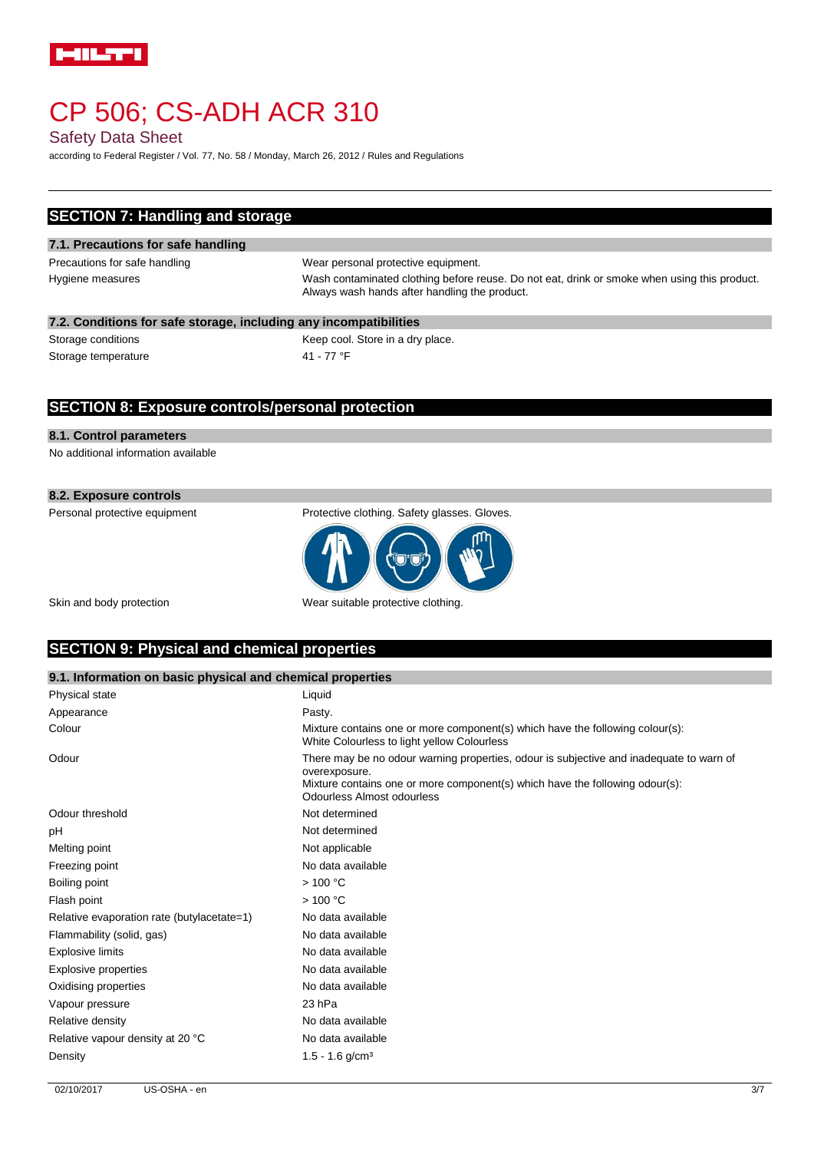

Safety Data Sheet

according to Federal Register / Vol. 77, No. 58 / Monday, March 26, 2012 / Rules and Regulations

| <b>SECTION 7: Handling and storage</b>                            |                                                                                                                                               |
|-------------------------------------------------------------------|-----------------------------------------------------------------------------------------------------------------------------------------------|
| 7.1. Precautions for safe handling                                |                                                                                                                                               |
| Precautions for safe handling                                     | Wear personal protective equipment.                                                                                                           |
| Hygiene measures                                                  | Wash contaminated clothing before reuse. Do not eat, drink or smoke when using this product.<br>Always wash hands after handling the product. |
| 7.2. Conditions for safe storage, including any incompatibilities |                                                                                                                                               |
| Storage conditions                                                | Keep cool. Store in a dry place.                                                                                                              |
| Storage temperature                                               | 41 - 77 °F                                                                                                                                    |

# **SECTION 8: Exposure controls/personal protection**

## **8.1. Control parameters**

No additional information available

## **8.2. Exposure controls**

Personal protective equipment Protective clothing. Safety glasses. Gloves.



Skin and body protection Wear suitable protective clothing.

## **SECTION 9: Physical and chemical properties**

## **9.1. Information on basic physical and chemical properties**

| Physical state                             | Liquid                                                                                                                                                                                                                 |
|--------------------------------------------|------------------------------------------------------------------------------------------------------------------------------------------------------------------------------------------------------------------------|
| Appearance                                 | Pasty.                                                                                                                                                                                                                 |
| Colour                                     | Mixture contains one or more component(s) which have the following colour(s):<br>White Colourless to light yellow Colourless                                                                                           |
| Odour                                      | There may be no odour warning properties, odour is subjective and inadequate to warn of<br>overexposure.<br>Mixture contains one or more component(s) which have the following odour(s):<br>Odourless Almost odourless |
| Odour threshold                            | Not determined                                                                                                                                                                                                         |
| рH                                         | Not determined                                                                                                                                                                                                         |
| Melting point                              | Not applicable                                                                                                                                                                                                         |
| Freezing point                             | No data available                                                                                                                                                                                                      |
| Boiling point                              | >100 °C                                                                                                                                                                                                                |
| Flash point                                | >100 °C                                                                                                                                                                                                                |
| Relative evaporation rate (butylacetate=1) | No data available                                                                                                                                                                                                      |
| Flammability (solid, gas)                  | No data available                                                                                                                                                                                                      |
| <b>Explosive limits</b>                    | No data available                                                                                                                                                                                                      |
| Explosive properties                       | No data available                                                                                                                                                                                                      |
| Oxidising properties                       | No data available                                                                                                                                                                                                      |
| Vapour pressure                            | 23 <sub>hPa</sub>                                                                                                                                                                                                      |
| Relative density                           | No data available                                                                                                                                                                                                      |
| Relative vapour density at 20 °C           | No data available                                                                                                                                                                                                      |
| Density                                    | $1.5 - 1.6$ g/cm <sup>3</sup>                                                                                                                                                                                          |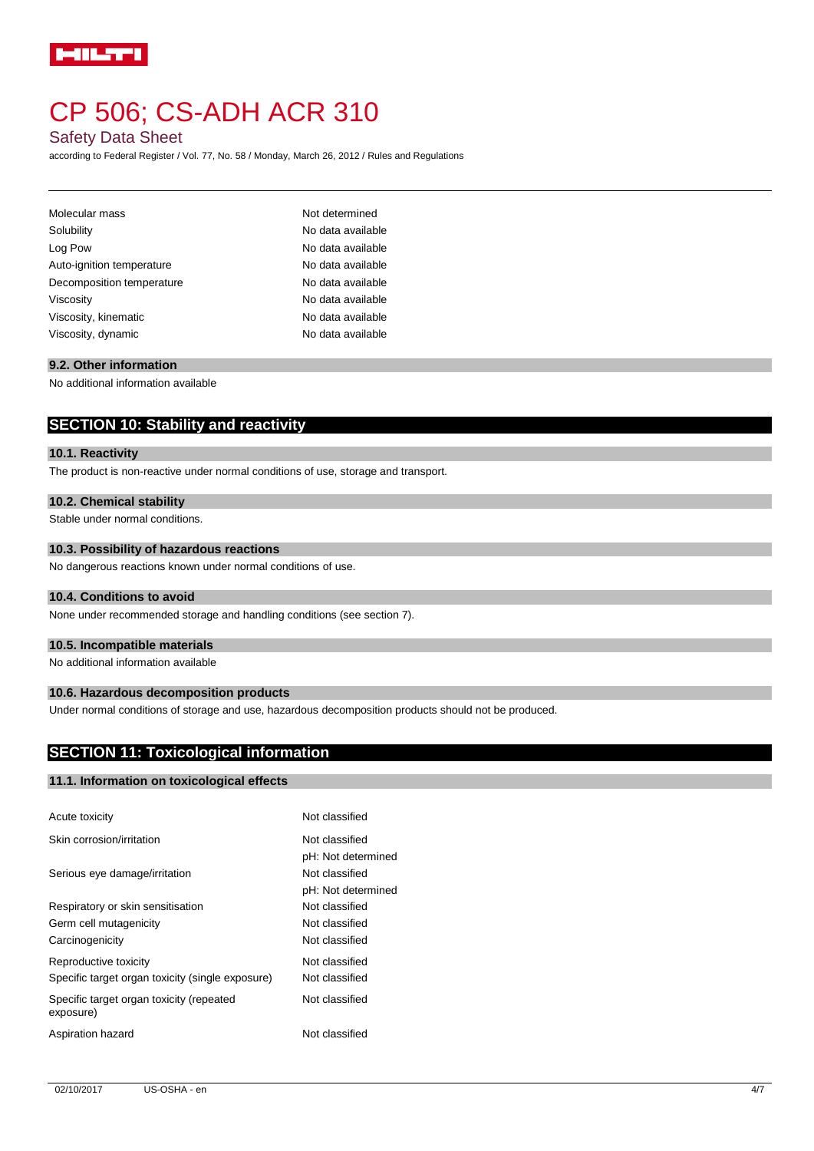

## Safety Data Sheet

according to Federal Register / Vol. 77, No. 58 / Monday, March 26, 2012 / Rules and Regulations

| Molecular mass            | Not determined    |
|---------------------------|-------------------|
| Solubility                | No data available |
| Log Pow                   | No data available |
| Auto-ignition temperature | No data available |
| Decomposition temperature | No data available |
| Viscosity                 | No data available |
| Viscosity, kinematic      | No data available |
| Viscosity, dynamic        | No data available |

### **9.2. Other information**

No additional information available

## **SECTION 10: Stability and reactivity**

### **10.1. Reactivity**

The product is non-reactive under normal conditions of use, storage and transport.

## **10.2. Chemical stability**

Stable under normal conditions.

## **10.3. Possibility of hazardous reactions**

No dangerous reactions known under normal conditions of use.

#### **10.4. Conditions to avoid**

None under recommended storage and handling conditions (see section 7).

#### **10.5. Incompatible materials**

No additional information available

#### **10.6. Hazardous decomposition products**

Under normal conditions of storage and use, hazardous decomposition products should not be produced.

# **SECTION 11: Toxicological information**

## **11.1. Information on toxicological effects**

| Not classified     |
|--------------------|
| Not classified     |
| pH: Not determined |
| Not classified     |
| pH: Not determined |
| Not classified     |
| Not classified     |
| Not classified     |
| Not classified     |
| Not classified     |
| Not classified     |
| Not classified     |
|                    |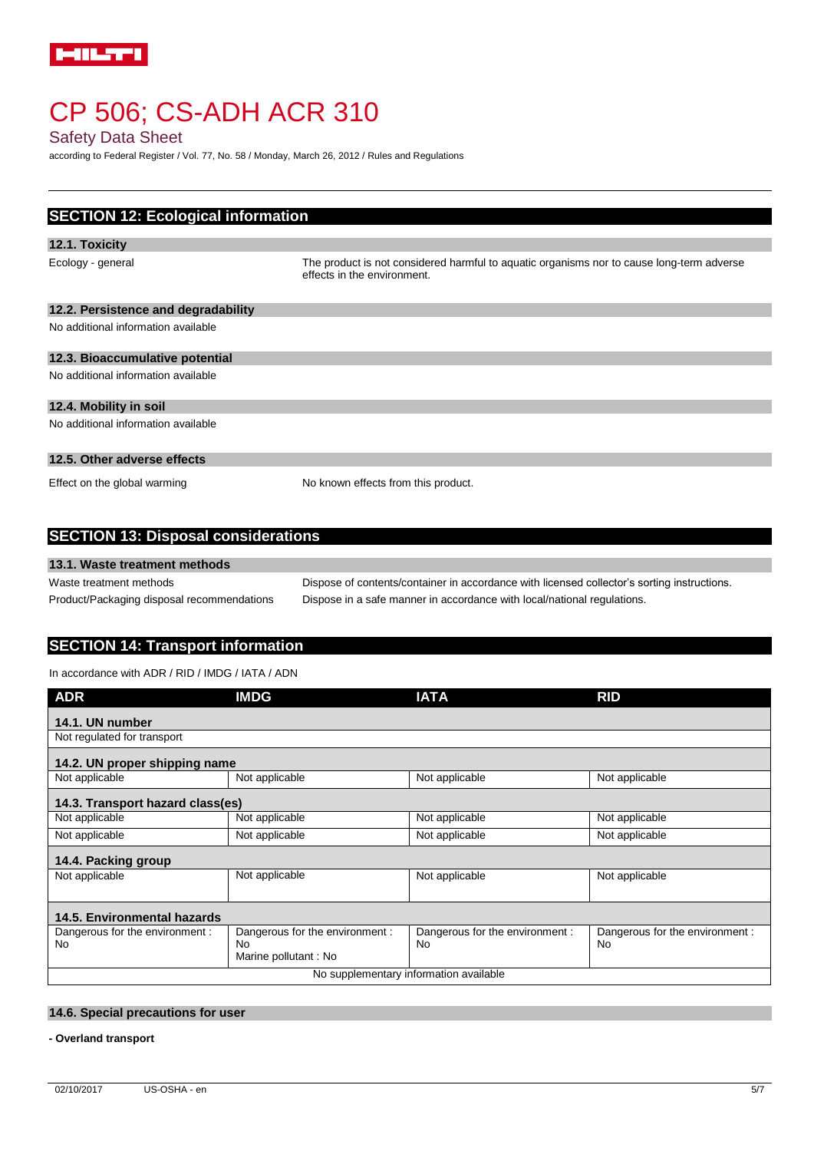

Safety Data Sheet

according to Federal Register / Vol. 77, No. 58 / Monday, March 26, 2012 / Rules and Regulations

| <b>SECTION 12: Ecological information</b> |                                                                                                                          |  |
|-------------------------------------------|--------------------------------------------------------------------------------------------------------------------------|--|
| 12.1. Toxicity                            |                                                                                                                          |  |
| Ecology - general                         | The product is not considered harmful to aquatic organisms nor to cause long-term adverse<br>effects in the environment. |  |
| 12.2. Persistence and degradability       |                                                                                                                          |  |
| No additional information available       |                                                                                                                          |  |
| 12.3. Bioaccumulative potential           |                                                                                                                          |  |
| No additional information available       |                                                                                                                          |  |
| 12.4. Mobility in soil                    |                                                                                                                          |  |
| No additional information available       |                                                                                                                          |  |
| 12.5. Other adverse effects               |                                                                                                                          |  |
| Effect on the global warming              | No known effects from this product.                                                                                      |  |
|                                           |                                                                                                                          |  |
|                                           |                                                                                                                          |  |

| <b>SECTION 13: Disposal considerations</b> |  |
|--------------------------------------------|--|
|                                            |  |
| 13.1. Waste treatment methods              |  |

Waste treatment methods **Dispose of contents/container in accordance with licensed collector's sorting instructions.** Product/Packaging disposal recommendations Dispose in a safe manner in accordance with local/national regulations.

# **SECTION 14: Transport information**

In accordance with ADR / RID / IMDG / IATA / ADN

| <b>ADR</b>                             | <b>IMDG</b>                     | <b>IATA</b>                     | <b>RID</b>                      |
|----------------------------------------|---------------------------------|---------------------------------|---------------------------------|
| 14.1. UN number                        |                                 |                                 |                                 |
| Not regulated for transport            |                                 |                                 |                                 |
| 14.2. UN proper shipping name          |                                 |                                 |                                 |
| Not applicable                         | Not applicable                  | Not applicable                  | Not applicable                  |
| 14.3. Transport hazard class(es)       |                                 |                                 |                                 |
| Not applicable                         | Not applicable                  | Not applicable                  | Not applicable                  |
| Not applicable                         | Not applicable                  | Not applicable                  | Not applicable                  |
| 14.4. Packing group                    |                                 |                                 |                                 |
| Not applicable                         | Not applicable                  | Not applicable                  | Not applicable                  |
|                                        |                                 |                                 |                                 |
| 14.5. Environmental hazards            |                                 |                                 |                                 |
| Dangerous for the environment :        | Dangerous for the environment : | Dangerous for the environment : | Dangerous for the environment : |
| No                                     | No.<br>Marine pollutant: No     | No                              | No                              |
| No supplementary information available |                                 |                                 |                                 |

## **14.6. Special precautions for user**

**- Overland transport**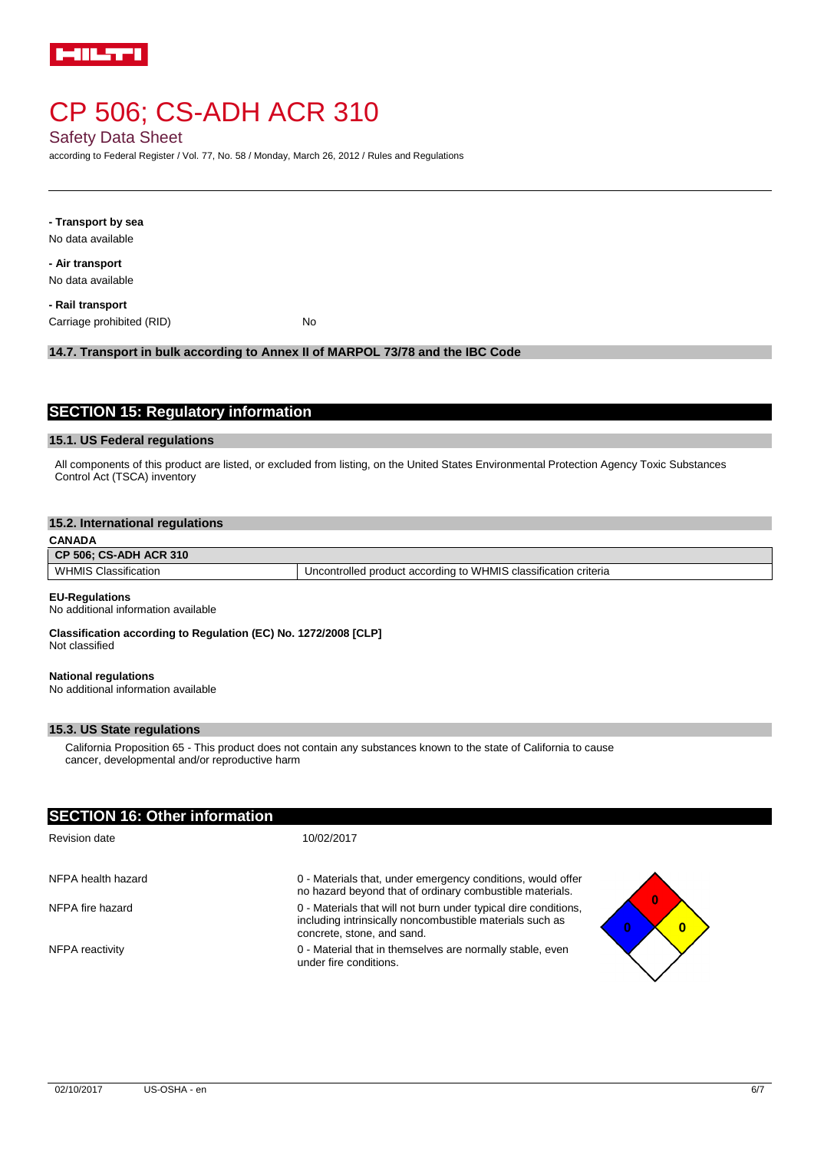

Safety Data Sheet

according to Federal Register / Vol. 77, No. 58 / Monday, March 26, 2012 / Rules and Regulations

**- Transport by sea**

No data available

**- Air transport** No data available

**- Rail transport**

Carriage prohibited (RID) No

## **14.7. Transport in bulk according to Annex II of MARPOL 73/78 and the IBC Code**

# **SECTION 15: Regulatory information**

#### **15.1. US Federal regulations**

All components of this product are listed, or excluded from listing, on the United States Environmental Protection Agency Toxic Substances Control Act (TSCA) inventory

### **15.2. International regulations**

**CANADA**

**CP 506; CS-ADH ACR 310**

WHMIS Classification **VELA SET ALL CONTROLLED VELA SET A** Uncontrolled product according to WHMIS classification criteria

#### **EU-Regulations**

No additional information available

#### **Classification according to Regulation (EC) No. 1272/2008 [CLP]** Not classified

#### **National regulations**

No additional information available

## **15.3. US State regulations**

California Proposition 65 - This product does not contain any substances known to the state of California to cause cancer, developmental and/or reproductive harm

| <b>SECTION 16: Other information</b> |                                                                                                                                                                |  |
|--------------------------------------|----------------------------------------------------------------------------------------------------------------------------------------------------------------|--|
| Revision date                        | 10/02/2017                                                                                                                                                     |  |
| NFPA health hazard                   | 0 - Materials that, under emergency conditions, would offer<br>no hazard beyond that of ordinary combustible materials.                                        |  |
| NFPA fire hazard                     | 0<br>0 - Materials that will not burn under typical dire conditions,<br>including intrinsically noncombustible materials such as<br>concrete, stone, and sand. |  |
| NFPA reactivity                      | 0 - Material that in themselves are normally stable, even<br>under fire conditions.                                                                            |  |